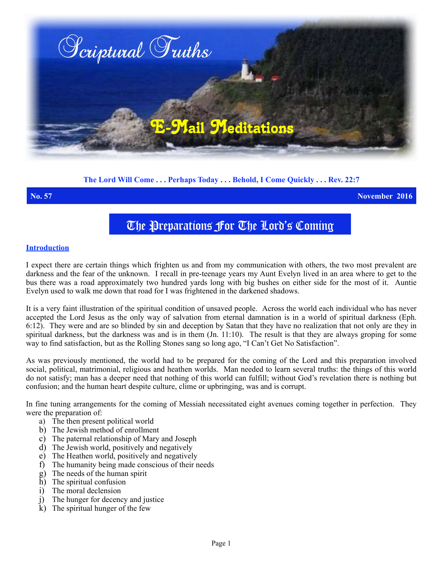

# **The Lord Will Come . . . Perhaps Today . . . Behold, I Come Quickly . . . Rev. 22:7**

**No. 57 November 2016**

# The Preparations For The Lord's Coming

# **Introduction**

I expect there are certain things which frighten us and from my communication with others, the two most prevalent are darkness and the fear of the unknown. I recall in pre-teenage years my Aunt Evelyn lived in an area where to get to the bus there was a road approximately two hundred yards long with big bushes on either side for the most of it. Auntie Evelyn used to walk me down that road for I was frightened in the darkened shadows.

It is a very faint illustration of the spiritual condition of unsaved people.Across the world each individual who has never accepted the Lord Jesus as the only way of salvation from eternal damnation is in a world of spiritual darkness (Eph. 6:12). They were and are so blinded by sin and deception by Satan that they have no realization that not only are they in spiritual darkness, but the darkness was and is in them (Jn. 11:10). The result is that they are always groping for some way to find satisfaction, but as the Rolling Stones sang so long ago, "I Can't Get No Satisfaction".

As was previously mentioned, the world had to be prepared for the coming of the Lord and this preparation involved social, political, matrimonial, religious and heathen worlds. Man needed to learn several truths: the things of this world do not satisfy; man has a deeper need that nothing of this world can fulfill; without God's revelation there is nothing but confusion; and the human heart despite culture, clime or upbringing, was and is corrupt.

In fine tuning arrangements for the coming of Messiah necessitated eight avenues coming together in perfection. They were the preparation of:

- a) The then present political world
- b) The Jewish method of enrollment
- c) The paternal relationship of Mary and Joseph
- d) The Jewish world, positively and negatively
- e) The Heathen world, positively and negatively
- f) The humanity being made conscious of their needs
- g) The needs of the human spirit
- h) The spiritual confusion
- i) The moral declension
- j) The hunger for decency and justice
- k) The spiritual hunger of the few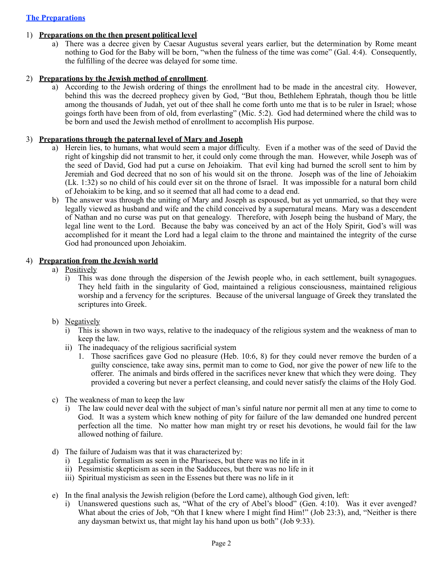# **The Preparations**

#### 1) **Preparations on the then present political level**

a) There was a decree given by Caesar Augustus several years earlier, but the determination by Rome meant nothing to God for the Baby will be born, "when the fulness of the time was come" (Gal. 4:4). Consequently, the fulfilling of the decree was delayed for some time.

### 2) **Preparations by the Jewish method of enrollment**.

a) According to the Jewish ordering of things the enrollment had to be made in the ancestral city. However, behind this was the decreed prophecy given by God, "But thou, Bethlehem Ephratah, though thou be little among the thousands of Judah, yet out of thee shall he come forth unto me that is to be ruler in Israel; whose goings forth have been from of old, from everlasting" (Mic. 5:2). God had determined where the child was to be born and used the Jewish method of enrollment to accomplish His purpose.

### 3) **Preparations through the paternal level of Mary and Joseph**

- a) Herein lies, to humans, what would seem a major difficulty. Even if a mother was of the seed of David the right of kingship did not transmit to her, it could only come through the man. However, while Joseph was of the seed of David, God had put a curse on Jehoiakim. That evil king had burned the scroll sent to him by Jeremiah and God decreed that no son of his would sit on the throne. Joseph was of the line of Jehoiakim (Lk. 1:32) so no child of his could ever sit on the throne of Israel. It was impossible for a natural born child of Jehoiakim to be king, and so it seemed that all had come to a dead end.
- b) The answer was through the uniting of Mary and Joseph as espoused, but as yet unmarried, so that they were legally viewed as husband and wife and the child conceived by a supernatural means. Mary was a descendent of Nathan and no curse was put on that genealogy. Therefore, with Joseph being the husband of Mary, the legal line went to the Lord. Because the baby was conceived by an act of the Holy Spirit, God's will was accomplished for it meant the Lord had a legal claim to the throne and maintained the integrity of the curse God had pronounced upon Jehoiakim.

#### 4) **Preparation from the Jewish world**

- a) Positively
	- i) This was done through the dispersion of the Jewish people who, in each settlement, built synagogues. They held faith in the singularity of God, maintained a religious consciousness, maintained religious worship and a fervency for the scriptures. Because of the universal language of Greek they translated the scriptures into Greek.
- b) Negatively
	- i) This is shown in two ways, relative to the inadequacy of the religious system and the weakness of man to keep the law.
	- ii) The inadequacy of the religious sacrificial system
		- 1. Those sacrifices gave God no pleasure (Heb. 10:6, 8) for they could never remove the burden of a guilty conscience, take away sins, permit man to come to God, nor give the power of new life to the offerer. The animals and birds offered in the sacrifices never knew that which they were doing. They provided a covering but never a perfect cleansing, and could never satisfy the claims of the Holy God.
- c) The weakness of man to keep the law
	- i) The law could never deal with the subject of man's sinful nature nor permit all men at any time to come to God. It was a system which knew nothing of pity for failure of the law demanded one hundred percent perfection all the time. No matter how man might try or reset his devotions, he would fail for the law allowed nothing of failure.
- d) The failure of Judaism was that it was characterized by:
	- i) Legalistic formalism as seen in the Pharisees, but there was no life in it
	- ii) Pessimistic skepticism as seen in the Sadducees, but there was no life in it
	- iii) Spiritual mysticism as seen in the Essenes but there was no life in it
- e) In the final analysis the Jewish religion (before the Lord came), although God given, left:
	- i) Unanswered questions such as, "What of the cry of Abel's blood" (Gen. 4:10). Was it ever avenged? What about the cries of Job, "Oh that I knew where I might find Him!" (Job 23:3), and, "Neither is there any daysman betwixt us, that might lay his hand upon us both" (Job 9:33).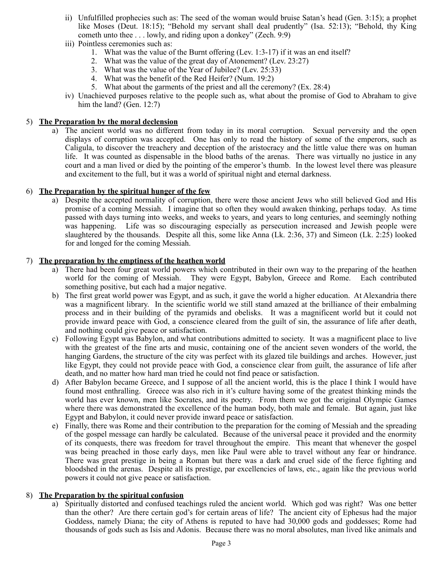- ii) Unfulfilled prophecies such as: The seed of the woman would bruise Satan's head (Gen. 3:15); a prophet like Moses (Deut. 18:15); "Behold my servant shall deal prudently" (Isa. 52:13); "Behold, thy King cometh unto thee . . . lowly, and riding upon a donkey" (Zech. 9:9)
- iii) Pointless ceremonies such as:
	- 1. What was the value of the Burnt offering (Lev. 1:3-17) if it was an end itself?
	- 2. What was the value of the great day of Atonement? (Lev. 23:27)
	- 3. What was the value of the Year of Jubilee? (Lev. 25:33)
	- 4. What was the benefit of the Red Heifer? (Num. 19:2)
	- 5. What about the garments of the priest and all the ceremony? (Ex. 28:4)
- iv) Unachieved purposes relative to the people such as, what about the promise of God to Abraham to give him the land? (Gen. 12:7)

# 5) **The Preparation by the moral declension**

a) The ancient world was no different from today in its moral corruption. Sexual perversity and the open displays of corruption was accepted. One has only to read the history of some of the emperors, such as Caligula, to discover the treachery and deception of the aristocracy and the little value there was on human life. It was counted as dispensable in the blood baths of the arenas. There was virtually no justice in any court and a man lived or died by the pointing of the emperor's thumb. In the lowest level there was pleasure and excitement to the full, but it was a world of spiritual night and eternal darkness.

# 6) **The Preparation by the spiritual hunger of the few**

a) Despite the accepted normality of corruption, there were those ancient Jews who still believed God and His promise of a coming Messiah. I imagine that so often they would awaken thinking, perhaps today. As time passed with days turning into weeks, and weeks to years, and years to long centuries, and seemingly nothing was happening. Life was so discouraging especially as persecution increased and Jewish people were slaughtered by the thousands. Despite all this, some like Anna (Lk. 2:36, 37) and Simeon (Lk. 2:25) looked for and longed for the coming Messiah.

# 7) **The preparation by the emptiness of the heathen world**

- a) There had been four great world powers which contributed in their own way to the preparing of the heathen world for the coming of Messiah. They were Egypt, Babylon, Greece and Rome. Each contributed something positive, but each had a major negative.
- b) The first great world power was Egypt, and as such, it gave the world a higher education. At Alexandria there was a magnificent library. In the scientific world we still stand amazed at the brilliance of their embalming process and in their building of the pyramids and obelisks. It was a magnificent world but it could not provide inward peace with God, a conscience cleared from the guilt of sin, the assurance of life after death, and nothing could give peace or satisfaction.
- c) Following Egypt was Babylon, and what contributions admitted to society. It was a magnificent place to live with the greatest of the fine arts and music, containing one of the ancient seven wonders of the world, the hanging Gardens, the structure of the city was perfect with its glazed tile buildings and arches. However, just like Egypt, they could not provide peace with God, a conscience clear from guilt, the assurance of life after death, and no matter how hard man tried he could not find peace or satisfaction.
- d) After Babylon became Greece, and I suppose of all the ancient world, this is the place I think I would have found most enthralling. Greece was also rich in it's culture having some of the greatest thinking minds the world has ever known, men like Socrates, and its poetry. From them we got the original Olympic Games where there was demonstrated the excellence of the human body, both male and female. But again, just like Egypt and Babylon, it could never provide inward peace or satisfaction.
- e) Finally, there was Rome and their contribution to the preparation for the coming of Messiah and the spreading of the gospel message can hardly be calculated. Because of the universal peace it provided and the enormity of its conquests, there was freedom for travel throughout the empire. This meant that whenever the gospel was being preached in those early days, men like Paul were able to travel without any fear or hindrance. There was great prestige in being a Roman but there was a dark and cruel side of the fierce fighting and bloodshed in the arenas. Despite all its prestige, par excellencies of laws, etc., again like the previous world powers it could not give peace or satisfaction.

# 8) **The Preparation by the spiritual confusion**

a) Spiritually distorted and confused teachings ruled the ancient world. Which god was right? Was one better than the other? Are there certain god's for certain areas of life? The ancient city of Ephesus had the major Goddess, namely Diana; the city of Athens is reputed to have had 30,000 gods and goddesses; Rome had thousands of gods such as Isis and Adonis. Because there was no moral absolutes, man lived like animals and